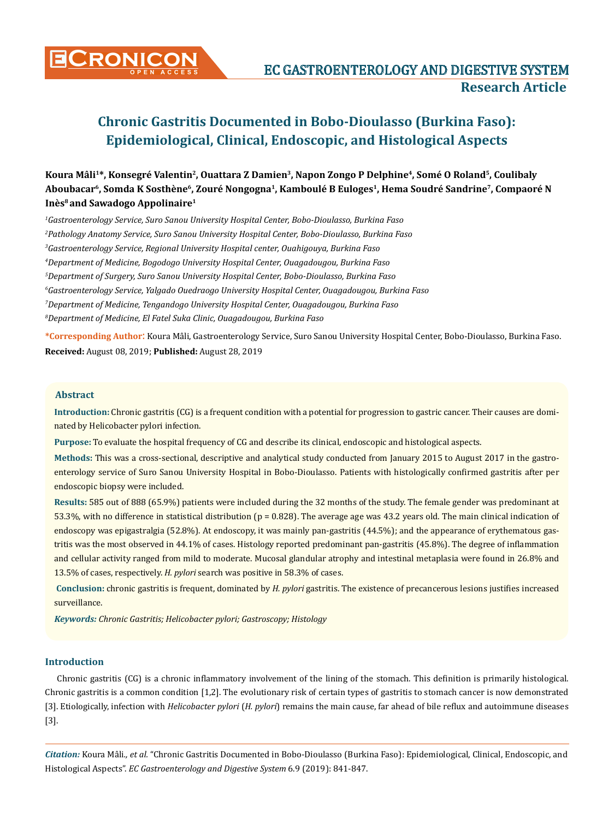

# **Chronic Gastritis Documented in Bobo-Dioulasso (Burkina Faso): Epidemiological, Clinical, Endoscopic, and Histological Aspects**

Koura Mâli<sup>1\*</sup>, Konsegré Valentin<sup>2</sup>, Ouattara Z Damien<sup>3</sup>, Napon Zongo P Delphine<sup>4</sup>, Somé O Roland<sup>5</sup>, Coulibaly **Aboubacar6, Somda K Sosthène6, Zouré Nongogna1, Kamboulé B Euloges1, Hema Soudré Sandrine7, Compaoré N Inès<sup>8</sup>** and Sawadogo Appolinaire<sup>1</sup>

 *Gastroenterology Service, Suro Sanou University Hospital Center, Bobo-Dioulasso, Burkina Faso Pathology Anatomy Service, Suro Sanou University Hospital Center, Bobo-Dioulasso, Burkina Faso Gastroenterology Service, Regional University Hospital center, Ouahigouya, Burkina Faso Department of Medicine, Bogodogo University Hospital Center, Ouagadougou, Burkina Faso Department of Surgery, Suro Sanou University Hospital Center, Bobo-Dioulasso, Burkina Faso Gastroenterology Service, Yalgado Ouedraogo University Hospital Center, Ouagadougou, Burkina Faso Department of Medicine, Tengandogo University Hospital Center, Ouagadougou, Burkina Faso Department of Medicine, El Fatel Suka Clinic, Ouagadougou, Burkina Faso*

**\*Corresponding Author**: Koura Mâli, Gastroenterology Service, Suro Sanou University Hospital Center, Bobo-Dioulasso, Burkina Faso. **Received:** August 08, 2019; **Published:** August 28, 2019

#### **Abstract**

**Introduction:** Chronic gastritis (CG) is a frequent condition with a potential for progression to gastric cancer. Their causes are dominated by Helicobacter pylori infection.

**Purpose:** To evaluate the hospital frequency of CG and describe its clinical, endoscopic and histological aspects.

**Methods:** This was a cross-sectional, descriptive and analytical study conducted from January 2015 to August 2017 in the gastroenterology service of Suro Sanou University Hospital in Bobo-Dioulasso. Patients with histologically confirmed gastritis after per endoscopic biopsy were included.

**Results:** 585 out of 888 (65.9%) patients were included during the 32 months of the study. The female gender was predominant at 53.3%, with no difference in statistical distribution (p = 0.828). The average age was 43.2 years old. The main clinical indication of endoscopy was epigastralgia (52.8%). At endoscopy, it was mainly pan-gastritis (44.5%); and the appearance of erythematous gastritis was the most observed in 44.1% of cases. Histology reported predominant pan-gastritis (45.8%). The degree of inflammation and cellular activity ranged from mild to moderate. Mucosal glandular atrophy and intestinal metaplasia were found in 26.8% and 13.5% of cases, respectively. *H. pylori* search was positive in 58.3% of cases.

**Conclusion:** chronic gastritis is frequent, dominated by *H. pylori* gastritis. The existence of precancerous lesions justifies increased surveillance.

*Keywords: Chronic Gastritis; Helicobacter pylori; Gastroscopy; Histology*

# **Introduction**

Chronic gastritis (CG) is a chronic inflammatory involvement of the lining of the stomach. This definition is primarily histological. Chronic gastritis is a common condition [1,2]. The evolutionary risk of certain types of gastritis to stomach cancer is now demonstrated [3]. Etiologically, infection with *Helicobacter pylori* (*H. pylori*) remains the main cause, far ahead of bile reflux and autoimmune diseases [3].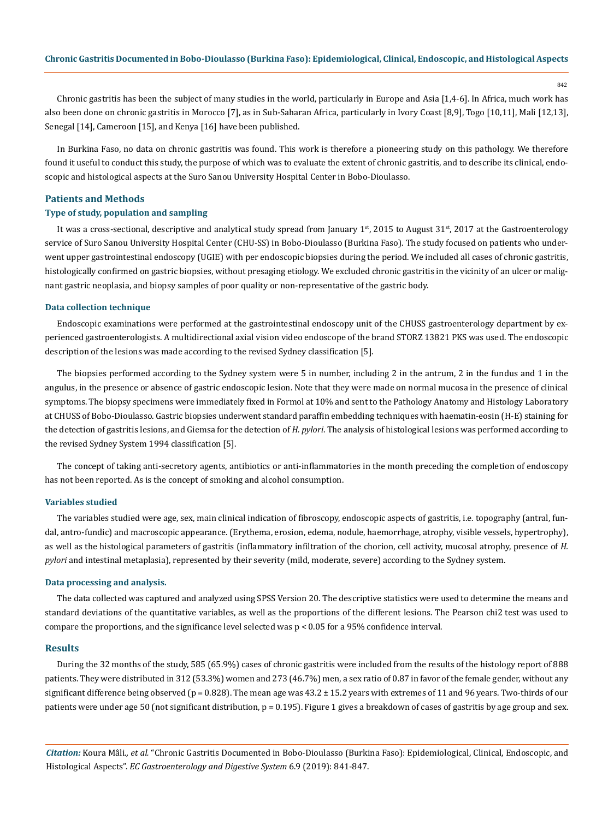842

Chronic gastritis has been the subject of many studies in the world, particularly in Europe and Asia [1,4-6]. In Africa, much work has also been done on chronic gastritis in Morocco [7], as in Sub-Saharan Africa, particularly in Ivory Coast [8,9], Togo [10,11], Mali [12,13], Senegal [14], Cameroon [15], and Kenya [16] have been published.

In Burkina Faso, no data on chronic gastritis was found. This work is therefore a pioneering study on this pathology. We therefore found it useful to conduct this study, the purpose of which was to evaluate the extent of chronic gastritis, and to describe its clinical, endoscopic and histological aspects at the Suro Sanou University Hospital Center in Bobo-Dioulasso.

#### **Patients and Methods**

# **Type of study, population and sampling**

It was a cross-sectional, descriptive and analytical study spread from January  $1<sup>st</sup>$ , 2015 to August  $31<sup>st</sup>$ , 2017 at the Gastroenterology service of Suro Sanou University Hospital Center (CHU-SS) in Bobo-Dioulasso (Burkina Faso). The study focused on patients who underwent upper gastrointestinal endoscopy (UGIE) with per endoscopic biopsies during the period. We included all cases of chronic gastritis, histologically confirmed on gastric biopsies, without presaging etiology. We excluded chronic gastritis in the vicinity of an ulcer or malignant gastric neoplasia, and biopsy samples of poor quality or non-representative of the gastric body.

#### **Data collection technique**

Endoscopic examinations were performed at the gastrointestinal endoscopy unit of the CHUSS gastroenterology department by experienced gastroenterologists. A multidirectional axial vision video endoscope of the brand STORZ 13821 PKS was used. The endoscopic description of the lesions was made according to the revised Sydney classification [5].

The biopsies performed according to the Sydney system were 5 in number, including 2 in the antrum, 2 in the fundus and 1 in the angulus, in the presence or absence of gastric endoscopic lesion. Note that they were made on normal mucosa in the presence of clinical symptoms. The biopsy specimens were immediately fixed in Formol at 10% and sent to the Pathology Anatomy and Histology Laboratory at CHUSS of Bobo-Dioulasso. Gastric biopsies underwent standard paraffin embedding techniques with haematin-eosin (H-E) staining for the detection of gastritis lesions, and Giemsa for the detection of *H. pylori*. The analysis of histological lesions was performed according to the revised Sydney System 1994 classification [5].

The concept of taking anti-secretory agents, antibiotics or anti-inflammatories in the month preceding the completion of endoscopy has not been reported. As is the concept of smoking and alcohol consumption.

## **Variables studied**

The variables studied were age, sex, main clinical indication of fibroscopy, endoscopic aspects of gastritis, i.e. topography (antral, fundal, antro-fundic) and macroscopic appearance. (Erythema, erosion, edema, nodule, haemorrhage, atrophy, visible vessels, hypertrophy), as well as the histological parameters of gastritis (inflammatory infiltration of the chorion, cell activity, mucosal atrophy, presence of *H. pylori* and intestinal metaplasia), represented by their severity (mild, moderate, severe) according to the Sydney system.

#### **Data processing and analysis.**

The data collected was captured and analyzed using SPSS Version 20. The descriptive statistics were used to determine the means and standard deviations of the quantitative variables, as well as the proportions of the different lesions. The Pearson chi2 test was used to compare the proportions, and the significance level selected was p < 0.05 for a 95% confidence interval.

#### **Results**

During the 32 months of the study, 585 (65.9%) cases of chronic gastritis were included from the results of the histology report of 888 patients. They were distributed in 312 (53.3%) women and 273 (46.7%) men, a sex ratio of 0.87 in favor of the female gender, without any significant difference being observed ( $p = 0.828$ ). The mean age was  $43.2 \pm 15.2$  years with extremes of 11 and 96 years. Two-thirds of our patients were under age 50 (not significant distribution, p = 0.195). Figure 1 gives a breakdown of cases of gastritis by age group and sex.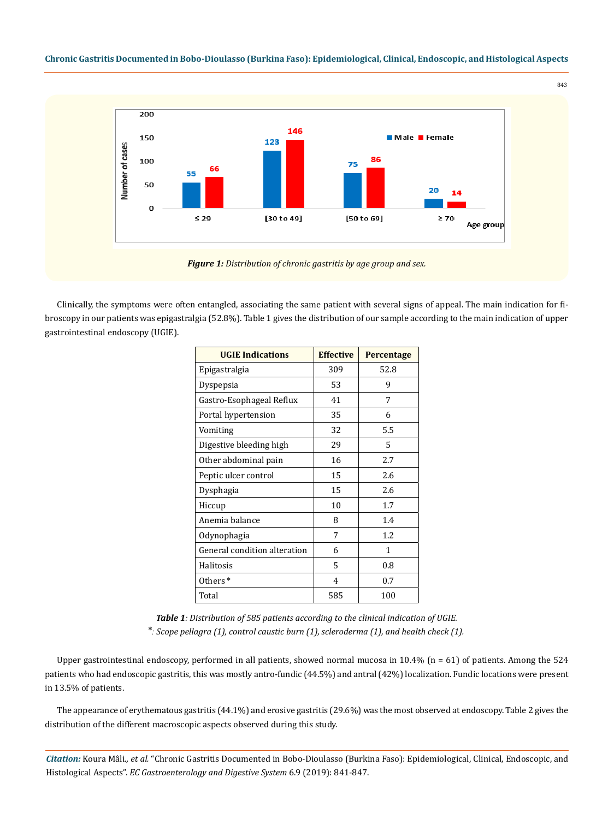# **Chronic Gastritis Documented in Bobo-Dioulasso (Burkina Faso): Epidemiological, Clinical, Endoscopic, and Histological Aspects**

843



*Figure 1: Distribution of chronic gastritis by age group and sex.*

Clinically, the symptoms were often entangled, associating the same patient with several signs of appeal. The main indication for fibroscopy in our patients was epigastralgia (52.8%). Table 1 gives the distribution of our sample according to the main indication of upper gastrointestinal endoscopy (UGIE).

| <b>UGIE Indications</b>      | <b>Effective</b> | Percentage |  |
|------------------------------|------------------|------------|--|
| Epigastralgia                | 309              | 52.8       |  |
| Dyspepsia                    | 53               | 9          |  |
| Gastro-Esophageal Reflux     | 41               | 7          |  |
| Portal hypertension          | 35               | 6          |  |
| Vomiting                     | 32               | 5.5        |  |
| Digestive bleeding high      | 29               | 5          |  |
| Other abdominal pain         | 16               | 2.7        |  |
| Peptic ulcer control         | 15               | 2.6        |  |
| Dysphagia                    | 15               | 2.6        |  |
| Hiccup                       | 10               | 1.7        |  |
| Anemia balance               | 8                | 1.4        |  |
| Odynophagia                  | 7                | 1.2        |  |
| General condition alteration | 6                | 1          |  |
| Halitosis                    | 5                | 0.8        |  |
| Others <sup>*</sup>          | $\overline{4}$   | 0.7        |  |
| Total                        | 585              | 100        |  |

*Table 1: Distribution of 585 patients according to the clinical indication of UGIE. ⃰ : Scope pellagra (1), control caustic burn (1), scleroderma (1), and health check (1).*

Upper gastrointestinal endoscopy, performed in all patients, showed normal mucosa in 10.4% (n = 61) of patients. Among the 524 patients who had endoscopic gastritis, this was mostly antro-fundic (44.5%) and antral (42%) localization. Fundic locations were present in 13.5% of patients.

The appearance of erythematous gastritis (44.1%) and erosive gastritis (29.6%) was the most observed at endoscopy. Table 2 gives the distribution of the different macroscopic aspects observed during this study.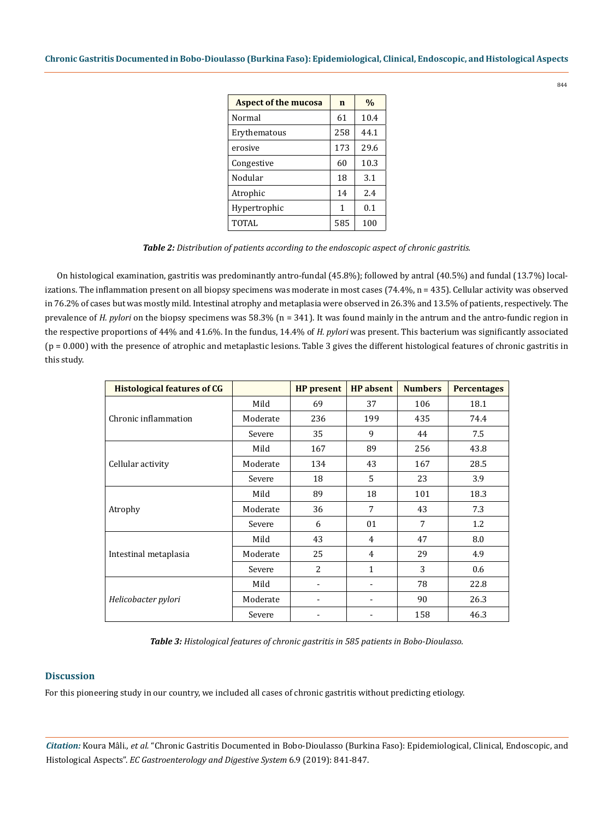| <b>Aspect of the mucosa</b> | $\mathbf n$ | $\frac{0}{0}$ |
|-----------------------------|-------------|---------------|
| Normal                      | 61          | 10.4          |
| Erythematous                | 258         | 44.1          |
| erosive                     | 173         | 29.6          |
| Congestive                  | 60          | 10.3          |
| Nodular                     | 18          | 3.1           |
| Atrophic                    | 14          | 2.4           |
| Hypertrophic                | 1           | 0.1           |
| <b>TOTAL</b>                | 585         | 100           |

*Table 2: Distribution of patients according to the endoscopic aspect of chronic gastritis.*

On histological examination, gastritis was predominantly antro-fundal (45.8%); followed by antral (40.5%) and fundal (13.7%) localizations. The inflammation present on all biopsy specimens was moderate in most cases (74.4%, n = 435). Cellular activity was observed in 76.2% of cases but was mostly mild. Intestinal atrophy and metaplasia were observed in 26.3% and 13.5% of patients, respectively. The prevalence of *H. pylori* on the biopsy specimens was 58.3% (n = 341). It was found mainly in the antrum and the antro-fundic region in the respective proportions of 44% and 41.6%. In the fundus, 14.4% of *H. pylori* was present. This bacterium was significantly associated (p = 0.000) with the presence of atrophic and metaplastic lesions. Table 3 gives the different histological features of chronic gastritis in this study.

| <b>Histological features of CG</b> |          | <b>HP</b> present | <b>HP</b> absent | <b>Numbers</b> | <b>Percentages</b> |
|------------------------------------|----------|-------------------|------------------|----------------|--------------------|
| Chronic inflammation               | Mild     | 69                | 37               | 106            | 18.1               |
|                                    | Moderate | 236               | 199              | 435            | 74.4               |
|                                    | Severe   | 35                | 9                | 44             | 7.5                |
| Cellular activity                  | Mild     | 167               | 89               | 256            | 43.8               |
|                                    | Moderate | 134               | 43               | 167            | 28.5               |
|                                    | Severe   | 18                | 5                | 23             | 3.9                |
| Atrophy                            | Mild     | 89                | 18               | 101            | 18.3               |
|                                    | Moderate | 36                | 7                | 43             | 7.3                |
|                                    | Severe   | 6                 | 01               | 7              | 1.2                |
| Intestinal metaplasia              | Mild     | 43                | 4                | 47             | 8.0                |
|                                    | Moderate | 25                | 4                | 29             | 4.9                |
|                                    | Severe   | $\overline{a}$    | 1                | 3              | 0.6                |
| Helicobacter pylori                | Mild     |                   |                  | 78             | 22.8               |
|                                    | Moderate |                   |                  | 90             | 26.3               |
|                                    | Severe   |                   |                  | 158            | 46.3               |

*Table 3: Histological features of chronic gastritis in 585 patients in Bobo-Dioulasso.*

# **Discussion**

For this pioneering study in our country, we included all cases of chronic gastritis without predicting etiology.

*Citation:* Koura Mâli*., et al.* "Chronic Gastritis Documented in Bobo-Dioulasso (Burkina Faso): Epidemiological, Clinical, Endoscopic, and Histological Aspects". *EC Gastroenterology and Digestive System* 6.9 (2019): 841-847.

844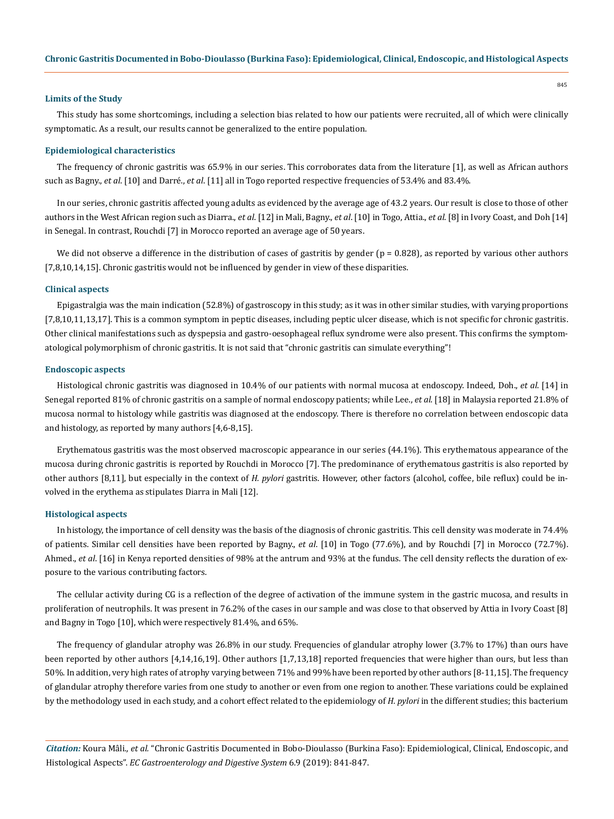#### **Limits of the Study**

This study has some shortcomings, including a selection bias related to how our patients were recruited, all of which were clinically symptomatic. As a result, our results cannot be generalized to the entire population.

#### **Epidemiological characteristics**

The frequency of chronic gastritis was 65.9% in our series. This corroborates data from the literature [1], as well as African authors such as Bagny., *et al*. [10] and Darré., *et al*. [11] all in Togo reported respective frequencies of 53.4% and 83.4%.

In our series, chronic gastritis affected young adults as evidenced by the average age of 43.2 years. Our result is close to those of other authors in the West African region such as Diarra., *et al*. [12] in Mali, Bagny., *et al*. [10] in Togo, Attia., *et al*. [8] in Ivory Coast, and Doh [14] in Senegal. In contrast, Rouchdi [7] in Morocco reported an average age of 50 years.

We did not observe a difference in the distribution of cases of gastritis by gender  $(p = 0.828)$ , as reported by various other authors [7,8,10,14,15]. Chronic gastritis would not be influenced by gender in view of these disparities.

#### **Clinical aspects**

Epigastralgia was the main indication (52.8%) of gastroscopy in this study; as it was in other similar studies, with varying proportions [7,8,10,11,13,17]. This is a common symptom in peptic diseases, including peptic ulcer disease, which is not specific for chronic gastritis. Other clinical manifestations such as dyspepsia and gastro-oesophageal reflux syndrome were also present. This confirms the symptomatological polymorphism of chronic gastritis. It is not said that "chronic gastritis can simulate everything"!

#### **Endoscopic aspects**

Histological chronic gastritis was diagnosed in 10.4% of our patients with normal mucosa at endoscopy. Indeed, Doh., *et al*. [14] in Senegal reported 81% of chronic gastritis on a sample of normal endoscopy patients; while Lee., *et al*. [18] in Malaysia reported 21.8% of mucosa normal to histology while gastritis was diagnosed at the endoscopy. There is therefore no correlation between endoscopic data and histology, as reported by many authors [4,6-8,15].

Erythematous gastritis was the most observed macroscopic appearance in our series (44.1%). This erythematous appearance of the mucosa during chronic gastritis is reported by Rouchdi in Morocco [7]. The predominance of erythematous gastritis is also reported by other authors [8,11], but especially in the context of *H. pylori* gastritis. However, other factors (alcohol, coffee, bile reflux) could be involved in the erythema as stipulates Diarra in Mali [12].

#### **Histological aspects**

In histology, the importance of cell density was the basis of the diagnosis of chronic gastritis. This cell density was moderate in 74.4% of patients. Similar cell densities have been reported by Bagny., *et al*. [10] in Togo (77.6%), and by Rouchdi [7] in Morocco (72.7%). Ahmed., *et al*. [16] in Kenya reported densities of 98% at the antrum and 93% at the fundus. The cell density reflects the duration of exposure to the various contributing factors.

The cellular activity during CG is a reflection of the degree of activation of the immune system in the gastric mucosa, and results in proliferation of neutrophils. It was present in 76.2% of the cases in our sample and was close to that observed by Attia in Ivory Coast [8] and Bagny in Togo [10], which were respectively 81.4%, and 65%.

The frequency of glandular atrophy was 26.8% in our study. Frequencies of glandular atrophy lower (3.7% to 17%) than ours have been reported by other authors [4,14,16,19]. Other authors [1,7,13,18] reported frequencies that were higher than ours, but less than 50%. In addition, very high rates of atrophy varying between 71% and 99% have been reported by other authors [8-11,15]. The frequency of glandular atrophy therefore varies from one study to another or even from one region to another. These variations could be explained by the methodology used in each study, and a cohort effect related to the epidemiology of *H. pylori* in the different studies; this bacterium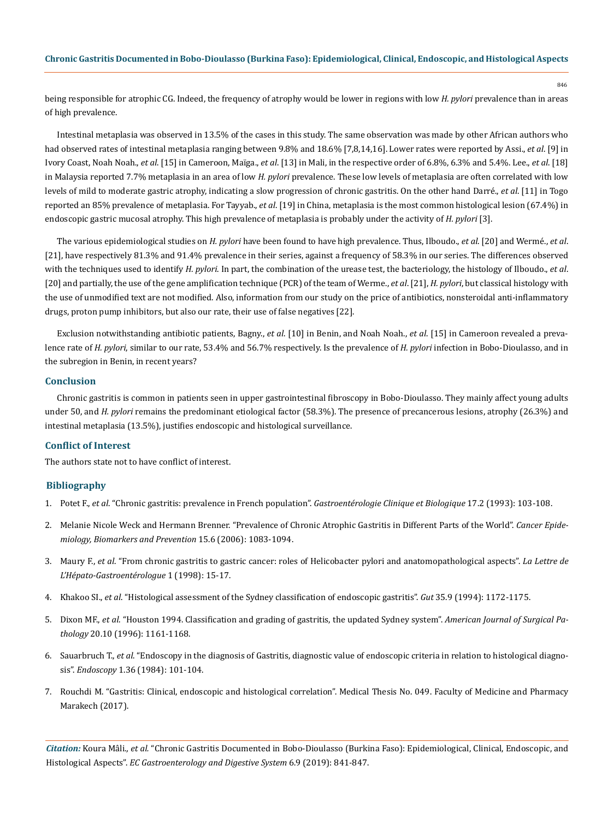being responsible for atrophic CG. Indeed, the frequency of atrophy would be lower in regions with low *H. pylori* prevalence than in areas of high prevalence.

Intestinal metaplasia was observed in 13.5% of the cases in this study. The same observation was made by other African authors who had observed rates of intestinal metaplasia ranging between 9.8% and 18.6% [7,8,14,16]. Lower rates were reported by Assi., *et al*. [9] in Ivory Coast, Noah Noah., *et al*. [15] in Cameroon, Maïga., *et al*. [13] in Mali, in the respective order of 6.8%, 6.3% and 5.4%. Lee., *et al*. [18] in Malaysia reported 7.7% metaplasia in an area of low *H. pylori* prevalence. These low levels of metaplasia are often correlated with low levels of mild to moderate gastric atrophy, indicating a slow progression of chronic gastritis. On the other hand Darré., *et al*. [11] in Togo reported an 85% prevalence of metaplasia. For Tayyab., *et al*. [19] in China, metaplasia is the most common histological lesion (67.4%) in endoscopic gastric mucosal atrophy. This high prevalence of metaplasia is probably under the activity of *H. pylori* [3].

The various epidemiological studies on *H. pylori* have been found to have high prevalence. Thus, Ilboudo., *et al*. [20] and Wermé., *et al*. [21], have respectively 81.3% and 91.4% prevalence in their series, against a frequency of 58.3% in our series. The differences observed with the techniques used to identify *H. pylori*. In part, the combination of the urease test, the bacteriology, the histology of Ilboudo., *et al*. [20] and partially, the use of the gene amplification technique (PCR) of the team of Werme., *et al*. [21], *H. pylori*, but classical histology with the use of unmodified text are not modified. Also, information from our study on the price of antibiotics, nonsteroidal anti-inflammatory drugs, proton pump inhibitors, but also our rate, their use of false negatives [22].

Exclusion notwithstanding antibiotic patients, Bagny., *et al*. [10] in Benin, and Noah Noah., *et al*. [15] in Cameroon revealed a prevalence rate of *H. pylori*, similar to our rate, 53.4% and 56.7% respectively. Is the prevalence of *H. pylori* infection in Bobo-Dioulasso, and in the subregion in Benin, in recent years?

# **Conclusion**

Chronic gastritis is common in patients seen in upper gastrointestinal fibroscopy in Bobo-Dioulasso. They mainly affect young adults under 50, and *H. pylori* remains the predominant etiological factor (58.3%). The presence of precancerous lesions, atrophy (26.3%) and intestinal metaplasia (13.5%), justifies endoscopic and histological surveillance.

# **Conflict of Interest**

The authors state not to have conflict of interest.

# **Bibliography**

- 1. Potet F., *et al*[. "Chronic gastritis: prevalence in French population".](https://www.ncbi.nlm.nih.gov/pubmed/8500696) *Gastroentérologie Clinique et Biologique* 17.2 (1993): 103-108.
- 2. [Melanie Nicole Weck and Hermann Brenner. "Prevalence of Chronic Atrophic Gastritis in Different Parts of the World".](https://www.ncbi.nlm.nih.gov/pubmed/16775164) *Cancer Epide[miology, Biomarkers and Prevention](https://www.ncbi.nlm.nih.gov/pubmed/16775164)* 15.6 (2006): 1083-1094.
- 3. Maury F., *et al*[. "From chronic gastritis to gastric cancer: roles of Helicobacter pylori and anatomopathological aspects".](https://www.edimark.fr/Front/frontpost/getfiles/9650.pdf) *La Lettre de [L'Hépato-Gastroentérologue](https://www.edimark.fr/Front/frontpost/getfiles/9650.pdf)* 1 (1998): 15-17.
- 4. Khakoo SI., *et al*[. "Histological assessment of the Sydney classification of endoscopic gastritis".](https://www.ncbi.nlm.nih.gov/pubmed/7959220) *Gut* 35.9 (1994): 1172-1175.
- 5. Dixon MF., *et al*[. "Houston 1994. Classification and grading of gastritis, the updated Sydney system".](https://www.ncbi.nlm.nih.gov/pubmed/8827022) *American Journal of Surgical Pathology* [20.10 \(1996\): 1161-1168.](https://www.ncbi.nlm.nih.gov/pubmed/8827022)
- 6. Sauarbruch T., *et al*[. "Endoscopy in the diagnosis of Gastritis, diagnostic value of endoscopic criteria in relation to histological diagno](https://www.ncbi.nlm.nih.gov/pubmed/6734532)sis". *Endoscopy* [1.36 \(1984\): 101-104.](https://www.ncbi.nlm.nih.gov/pubmed/6734532)
- 7. Rouchdi M. "Gastritis: Clinical, endoscopic and histological correlation". Medical Thesis No. 049. Faculty of Medicine and Pharmacy Marakech (2017).

*Citation:* Koura Mâli*., et al.* "Chronic Gastritis Documented in Bobo-Dioulasso (Burkina Faso): Epidemiological, Clinical, Endoscopic, and Histological Aspects". *EC Gastroenterology and Digestive System* 6.9 (2019): 841-847.

846